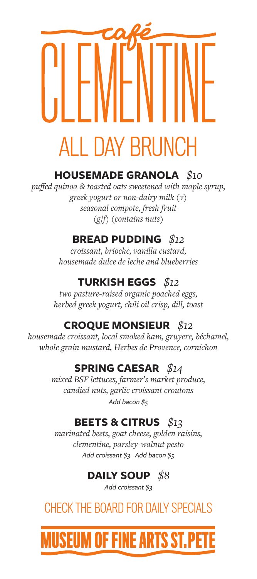# ALL DAY BRUNCH

## **HOUSEMADE GRANOLA** *\$10*

*puffed quinoa & toasted oats sweetened with maple syrup, greek yogurt or non-dairy milk (v) seasonal compote, fresh fruit (g/f) (contains nuts)*

## **BREAD PUDDING** *\$12*

*croissant, brioche, vanilla custard, housemade dulce de leche and blueberries* 

## **TURKISH EGGS** *\$12*

*two pasture-raised organic poached eggs, herbed greek yogurt, chili oil crisp, dill, toast*

## **CROQUE MONSIEUR** *\$12*

*housemade croissant, local smoked ham, gruyere, béchamel, whole grain mustard, Herbes de Provence, cornichon*

## **SPRING CAESAR** *\$14*

*mixed BSF lettuces, farmer's market produce, candied nuts, garlic croissant croutons Add bacon \$5*

## **BEETS & CITRUS** *\$13*

*marinated beets, goat cheese, golden raisins, clementine, parsley-walnut pesto Add croissant \$3 Add bacon \$5*

## **DAILY SOUP** *\$8*

*Add croissant \$3*

## CHECK THE BOARD FOR DAILY SPECIALS

## **USEUM OF FINE ARTS ST.P**